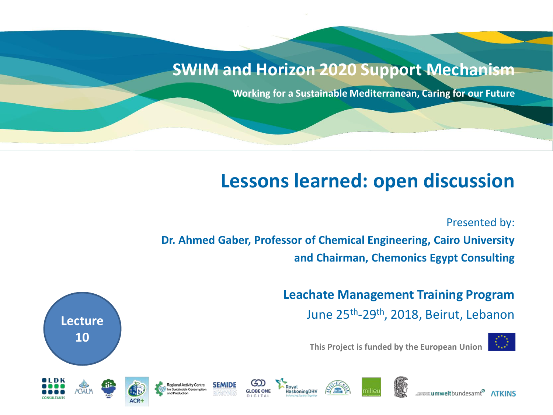#### **SWIM and Horizon 2020 Support Mechanism**

**Working for a Sustainable Mediterranean, Caring for our Future**

#### **Lessons learned: open discussion**

Presented by:

**Dr. Ahmed Gaber, Professor of Chemical Engineering, Cairo University and Chairman, Chemonics Egypt Consulting**

> **Leachate Management Training Program**  June 25th -29th, 2018, Beirut, Lebanon



umweltbundesamt<sup>®</sup> ATKINS

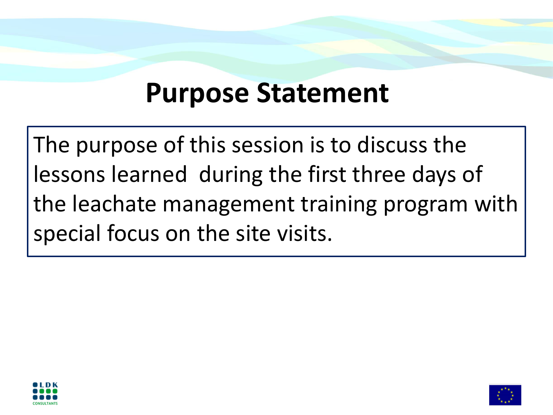# **Purpose Statement**

The purpose of this session is to discuss the lessons learned during the first three days of the leachate management training program with special focus on the site visits.



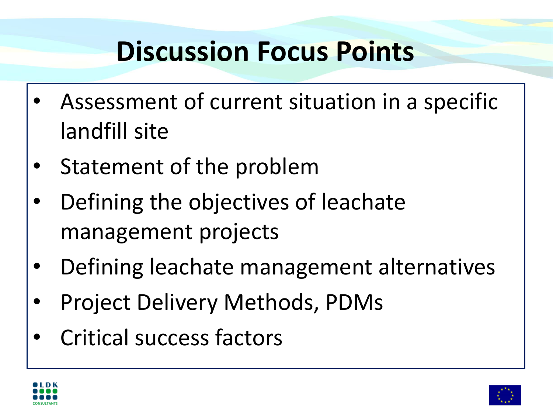# **Discussion Focus Points**

- Assessment of current situation in a specific landfill site
- Statement of the problem
- Defining the objectives of leachate management projects
- Defining leachate management alternatives
- Project Delivery Methods, PDMs
- Critical success factors



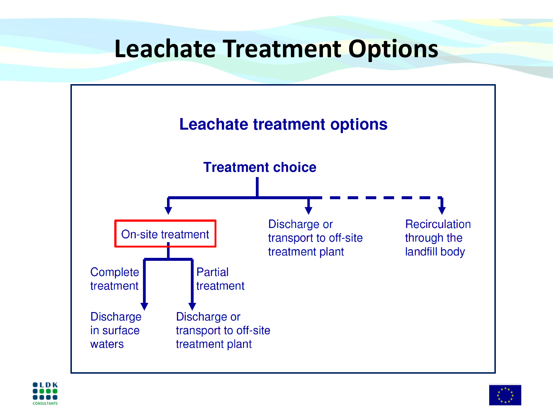### **Leachate Treatment Options**





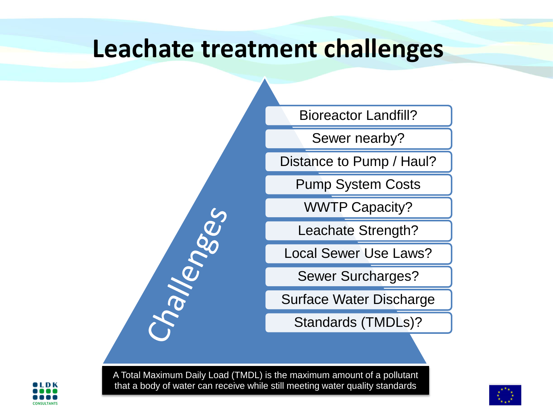#### **Leachate treatment challenges**

Bioreactor Landfill?

Sewer nearby?

Distance to Pump / Haul?

Pump System Costs

WWTP Capacity?

Leachate Strength?

Local Sewer Use Laws?

Sewer Surcharges?

Surface Water Discharge

Standards (TMDLs)?

A Total Maximum Daily Load (TMDL) is the maximum amount of a pollutant that a body of water can receive while still meeting water quality standards

hallenges



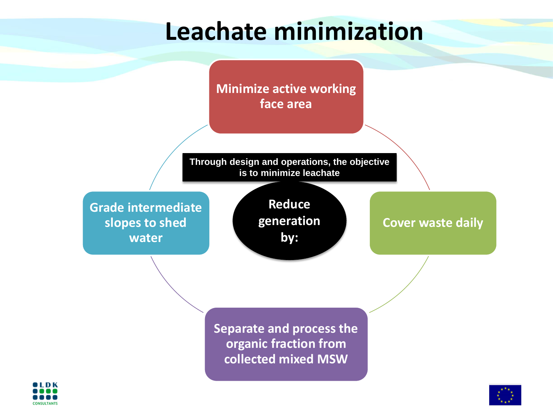# **Leachate minimization**